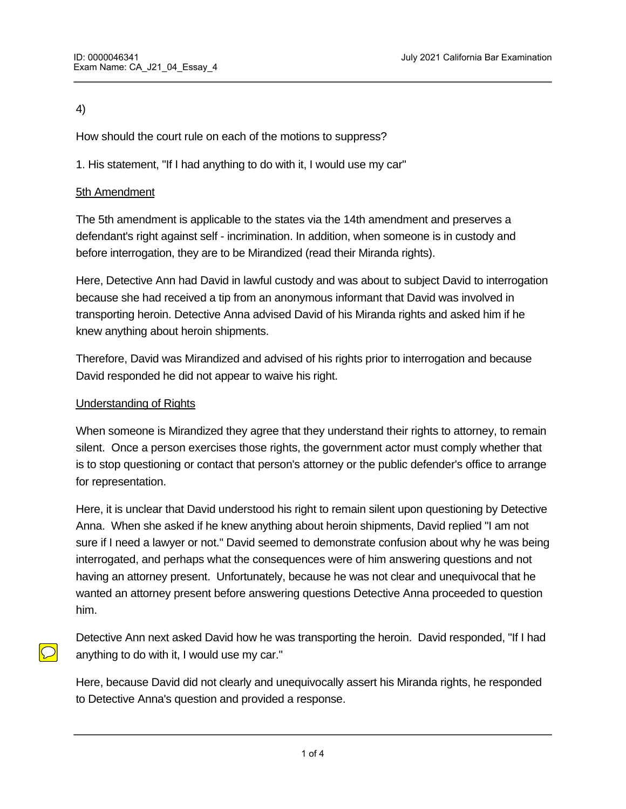# 4)

How should the court rule on each of the motions to suppress?

1. His statement, "If I had anything to do with it, I would use my car"

# 5th Amendment

The 5th amendment is applicable to the states via the 14th amendment and preserves a defendant's right against self - incrimination. In addition, when someone is in custody and before interrogation, they are to be Mirandized (read their Miranda rights).

Here, Detective Ann had David in lawful custody and was about to subject David to interrogation because she had received a tip from an anonymous informant that David was involved in transporting heroin. Detective Anna advised David of his Miranda rights and asked him if he knew anything about heroin shipments.

Therefore, David was Mirandized and advised of his rights prior to interrogation and because David responded he did not appear to waive his right.

#### Understanding of Rights

When someone is Mirandized they agree that they understand their rights to attorney, to remain silent. Once a person exercises those rights, the government actor must comply whether that is to stop questioning or contact that person's attorney or the public defender's office to arrange for representation.

Here, it is unclear that David understood his right to remain silent upon questioning by Detective Anna. When she asked if he knew anything about heroin shipments, David replied "I am not sure if I need a lawyer or not." David seemed to demonstrate confusion about why he was being interrogated, and perhaps what the consequences were of him answering questions and not having an attorney present. Unfortunately, because he was not clear and unequivocal that he wanted an attorney present before answering questions Detective Anna proceeded to question him.

Detective Ann next asked David how he was transporting the heroin. David responded, "If I had anything to do with it, I would use my car."

Here, because David did not clearly and unequivocally assert his Miranda rights, he responded to Detective Anna's question and provided a response.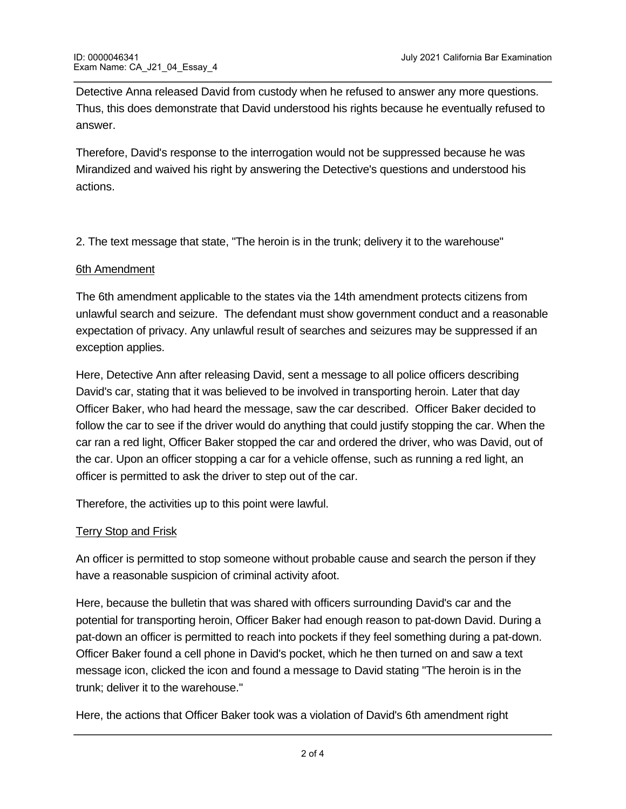Detective Anna released David from custody when he refused to answer any more questions. Thus, this does demonstrate that David understood his rights because he eventually refused to answer.

Therefore, David's response to the interrogation would not be suppressed because he was Mirandized and waived his right by answering the Detective's questions and understood his actions.

2. The text message that state, "The heroin is in the trunk; delivery it to the warehouse"

### 6th Amendment

The 6th amendment applicable to the states via the 14th amendment protects citizens from unlawful search and seizure. The defendant must show government conduct and a reasonable expectation of privacy. Any unlawful result of searches and seizures may be suppressed if an exception applies.

Here, Detective Ann after releasing David, sent a message to all police officers describing David's car, stating that it was believed to be involved in transporting heroin. Later that day Officer Baker, who had heard the message, saw the car described. Officer Baker decided to follow the car to see if the driver would do anything that could justify stopping the car. When the car ran a red light, Officer Baker stopped the car and ordered the driver, who was David, out of the car. Upon an officer stopping a car for a vehicle offense, such as running a red light, an officer is permitted to ask the driver to step out of the car.

Therefore, the activities up to this point were lawful.

# **Terry Stop and Frisk**

An officer is permitted to stop someone without probable cause and search the person if they have a reasonable suspicion of criminal activity afoot.

Here, because the bulletin that was shared with officers surrounding David's car and the potential for transporting heroin, Officer Baker had enough reason to pat-down David. During a pat-down an officer is permitted to reach into pockets if they feel something during a pat-down. Officer Baker found a cell phone in David's pocket, which he then turned on and saw a text message icon, clicked the icon and found a message to David stating "The heroin is in the trunk; deliver it to the warehouse."

Here, the actions that Officer Baker took was a violation of David's 6th amendment right because Officer Baker was not allowed to turn on the cell phone or search it any manner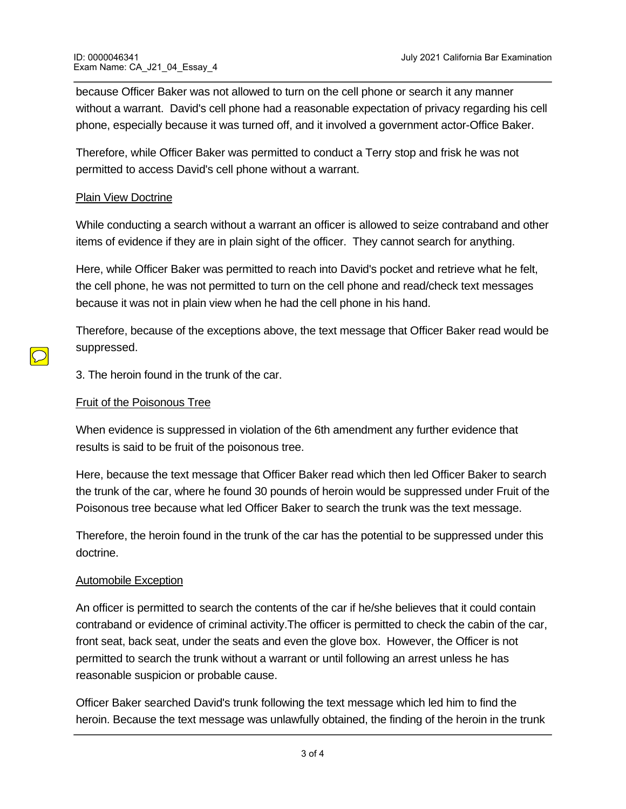because Officer Baker was not allowed to turn on the cell phone or search it any manner without a warrant. David's cell phone had a reasonable expectation of privacy regarding his cell phone, especially because it was turned off, and it involved a government actor-Office Baker.

Therefore, while Officer Baker was permitted to conduct a Terry stop and frisk he was not permitted to access David's cell phone without a warrant.

### Plain View Doctrine

While conducting a search without a warrant an officer is allowed to seize contraband and other items of evidence if they are in plain sight of the officer. They cannot search for anything.

Here, while Officer Baker was permitted to reach into David's pocket and retrieve what he felt, the cell phone, he was not permitted to turn on the cell phone and read/check text messages because it was not in plain view when he had the cell phone in his hand.

Therefore, because of the exceptions above, the text message that Officer Baker read would be suppressed.

3. The heroin found in the trunk of the car.

#### Fruit of the Poisonous Tree

When evidence is suppressed in violation of the 6th amendment any further evidence that results is said to be fruit of the poisonous tree.

Here, because the text message that Officer Baker read which then led Officer Baker to search the trunk of the car, where he found 30 pounds of heroin would be suppressed under Fruit of the Poisonous tree because what led Officer Baker to search the trunk was the text message.

Therefore, the heroin found in the trunk of the car has the potential to be suppressed under this doctrine.

#### Automobile Exception

could be suppressed.

An officer is permitted to search the contents of the car if he/she believes that it could contain contraband or evidence of criminal activity.The officer is permitted to check the cabin of the car, front seat, back seat, under the seats and even the glove box. However, the Officer is not permitted to search the trunk without a warrant or until following an arrest unless he has reasonable suspicion or probable cause.

Officer Baker searched David's trunk following the text message which led him to find the heroin. Because the text message was unlawfully obtained, the finding of the heroin in the trunk